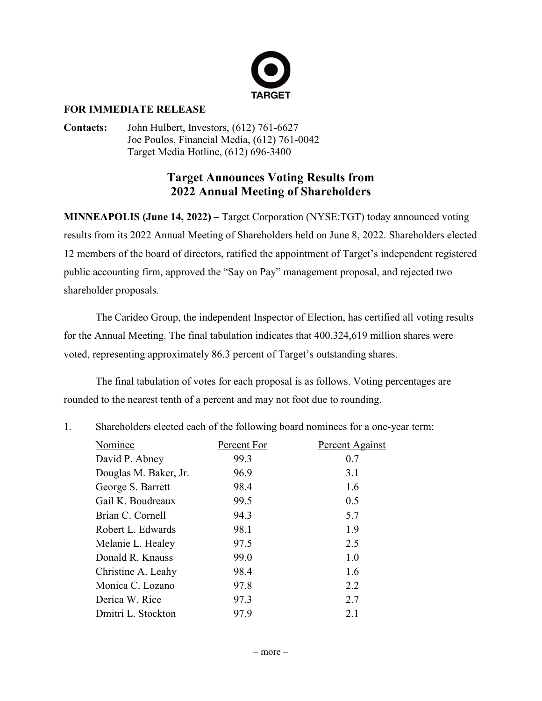

## **FOR IMMEDIATE RELEASE**

**Contacts:** John Hulbert, Investors, (612) 761-6627 Joe Poulos, Financial Media, (612) 761-0042 Target Media Hotline, (612) 696-3400

## **Target Announces Voting Results from 2022 Annual Meeting of Shareholders**

**MINNEAPOLIS (June 14, 2022) –** Target Corporation (NYSE:TGT) today announced voting results from its 2022 Annual Meeting of Shareholders held on June 8, 2022. Shareholders elected 12 members of the board of directors, ratified the appointment of Target's independent registered public accounting firm, approved the "Say on Pay" management proposal, and rejected two shareholder proposals.

The Carideo Group, the independent Inspector of Election, has certified all voting results for the Annual Meeting. The final tabulation indicates that 400,324,619 million shares were voted, representing approximately 86.3 percent of Target's outstanding shares.

The final tabulation of votes for each proposal is as follows. Voting percentages are rounded to the nearest tenth of a percent and may not foot due to rounding.

1. Shareholders elected each of the following board nominees for a one-year term:

| Nominee               | Percent For | Percent Against |
|-----------------------|-------------|-----------------|
| David P. Abney        | 99.3        | 0.7             |
| Douglas M. Baker, Jr. | 96.9        | 3.1             |
| George S. Barrett     | 98.4        | 1.6             |
| Gail K. Boudreaux     | 99.5        | 0.5             |
| Brian C. Cornell      | 94.3        | 5.7             |
| Robert L. Edwards     | 98.1        | 1.9             |
| Melanie L. Healey     | 97.5        | 2.5             |
| Donald R. Knauss      | 99.0        | 1.0             |
| Christine A. Leahy    | 98.4        | 1.6             |
| Monica C. Lozano      | 97.8        | 2.2             |
| Derica W. Rice        | 97.3        | 2.7             |
| Dmitri L. Stockton    | 97.9        | 2.1             |